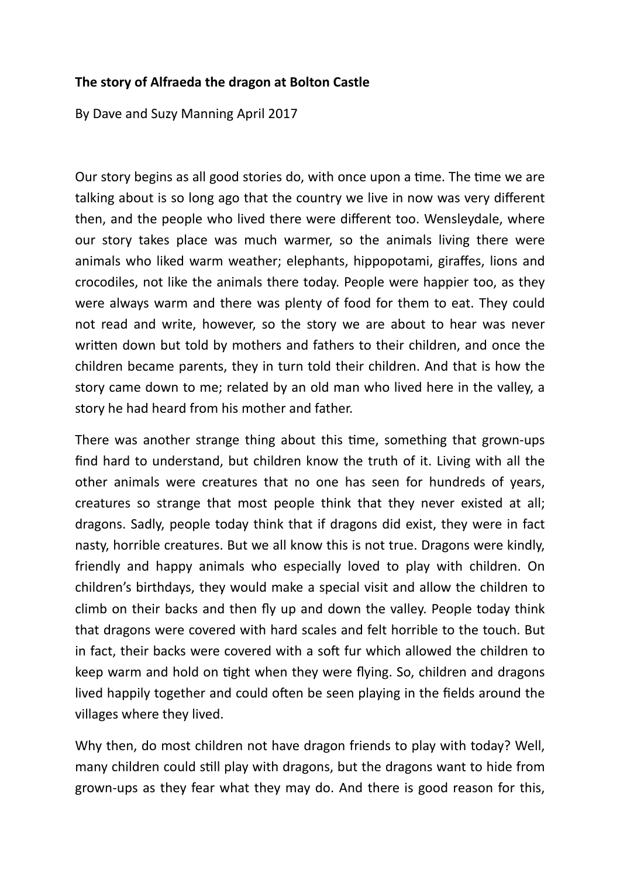## **The story of Alfraeda the dragon at Bolton Castle**

By Dave and Suzy Manning April 2017

Our story begins as all good stories do, with once upon a time. The time we are talking about is so long ago that the country we live in now was very different then, and the people who lived there were different too. Wensleydale, where our story takes place was much warmer, so the animals living there were animals who liked warm weather; elephants, hippopotami, giraffes, lions and crocodiles, not like the animals there today. People were happier too, as they were always warm and there was plenty of food for them to eat. They could not read and write, however, so the story we are about to hear was never written down but told by mothers and fathers to their children, and once the children became parents, they in turn told their children. And that is how the story came down to me; related by an old man who lived here in the valley, a story he had heard from his mother and father.

There was another strange thing about this time, something that grown-ups find hard to understand, but children know the truth of it. Living with all the other animals were creatures that no one has seen for hundreds of years, creatures so strange that most people think that they never existed at all; dragons. Sadly, people today think that if dragons did exist, they were in fact nasty, horrible creatures. But we all know this is not true. Dragons were kindly, friendly and happy animals who especially loved to play with children. On children's birthdays, they would make a special visit and allow the children to climb on their backs and then fly up and down the valley. People today think that dragons were covered with hard scales and felt horrible to the touch. But in fact, their backs were covered with a soft fur which allowed the children to keep warm and hold on tight when they were flying. So, children and dragons lived happily together and could often be seen playing in the fields around the villages where they lived.

Why then, do most children not have dragon friends to play with today? Well, many children could still play with dragons, but the dragons want to hide from grown-ups as they fear what they may do. And there is good reason for this,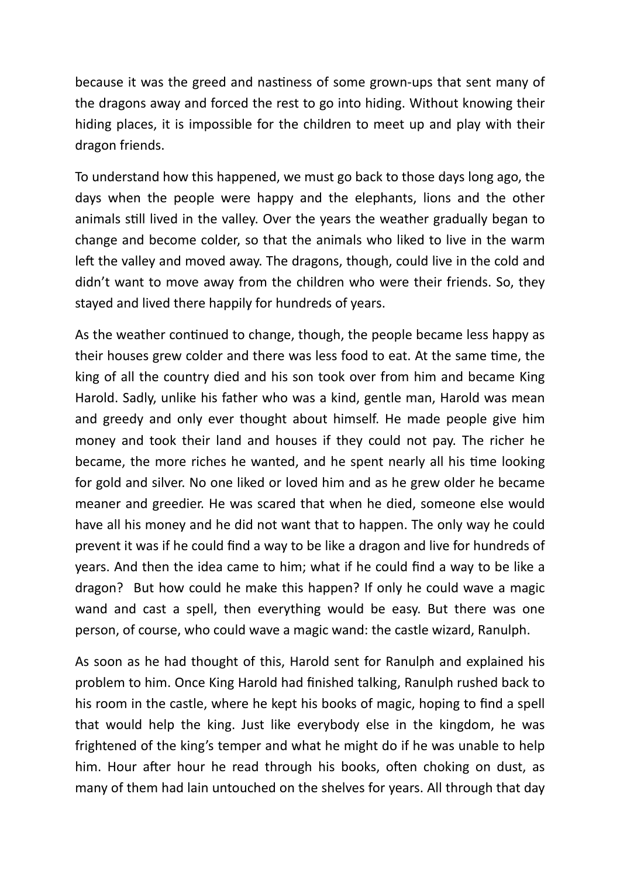because it was the greed and nastiness of some grown-ups that sent many of the dragons away and forced the rest to go into hiding. Without knowing their hiding places, it is impossible for the children to meet up and play with their dragon friends.

To understand how this happened, we must go back to those days long ago, the days when the people were happy and the elephants, lions and the other animals still lived in the valley. Over the years the weather gradually began to change and become colder, so that the animals who liked to live in the warm left the valley and moved away. The dragons, though, could live in the cold and didn't want to move away from the children who were their friends. So, they stayed and lived there happily for hundreds of years.

As the weather continued to change, though, the people became less happy as their houses grew colder and there was less food to eat. At the same time, the king of all the country died and his son took over from him and became King Harold. Sadly, unlike his father who was a kind, gentle man, Harold was mean and greedy and only ever thought about himself. He made people give him money and took their land and houses if they could not pay. The richer he became, the more riches he wanted, and he spent nearly all his time looking for gold and silver. No one liked or loved him and as he grew older he became meaner and greedier. He was scared that when he died, someone else would have all his money and he did not want that to happen. The only way he could prevent it was if he could find a way to be like a dragon and live for hundreds of years. And then the idea came to him; what if he could find a way to be like a dragon? But how could he make this happen? If only he could wave a magic wand and cast a spell, then everything would be easy. But there was one person, of course, who could wave a magic wand: the castle wizard, Ranulph.

As soon as he had thought of this, Harold sent for Ranulph and explained his problem to him. Once King Harold had finished talking, Ranulph rushed back to his room in the castle, where he kept his books of magic, hoping to find a spell that would help the king. Just like everybody else in the kingdom, he was frightened of the king's temper and what he might do if he was unable to help him. Hour after hour he read through his books, often choking on dust, as many of them had lain untouched on the shelves for years. All through that day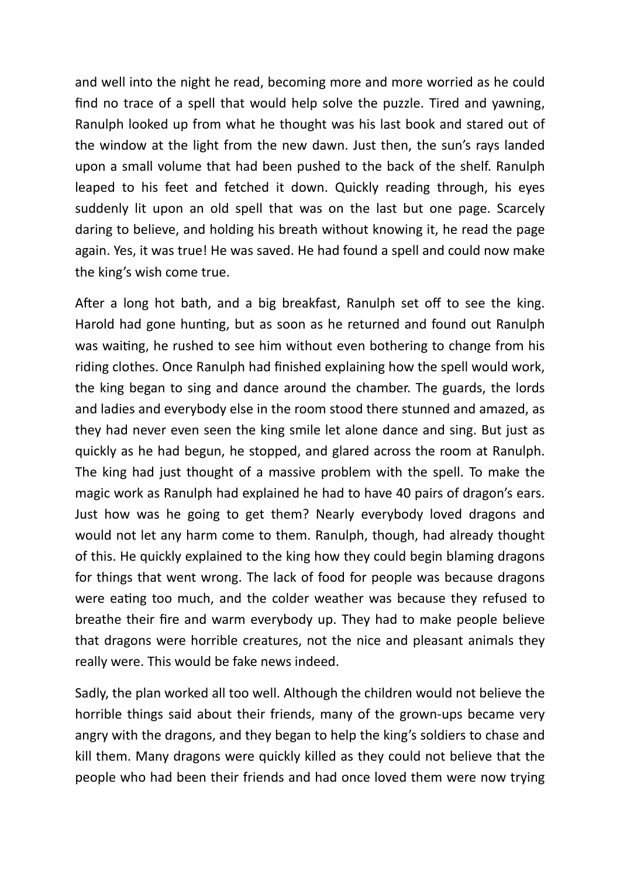and well into the night he read, becoming more and more worried as he could find no trace of a spell that would help solve the puzzle. Tired and yawning, Ranulph looked up from what he thought was his last book and stared out of the window at the light from the new dawn. Just then, the sun's rays landed upon a small volume that had been pushed to the back of the shelf. Ranulph leaped to his feet and fetched it down. Quickly reading through, his eyes suddenly lit upon an old spell that was on the last but one page. Scarcely daring to believe, and holding his breath without knowing it, he read the page again. Yes, it was true! He was saved. He had found a spell and could now make the king's wish come true.

After a long hot bath, and a big breakfast, Ranulph set off to see the king. Harold had gone hunting, but as soon as he returned and found out Ranulph was waiting, he rushed to see him without even bothering to change from his riding clothes. Once Ranulph had finished explaining how the spell would work, the king began to sing and dance around the chamber. The guards, the lords and ladies and everybody else in the room stood there stunned and amazed, as they had never even seen the king smile let alone dance and sing. But just as quickly as he had begun, he stopped, and glared across the room at Ranulph. The king had just thought of a massive problem with the spell. To make the magic work as Ranulph had explained he had to have 40 pairs of dragon's ears. Just how was he going to get them? Nearly everybody loved dragons and would not let any harm come to them. Ranulph, though, had already thought of this. He quickly explained to the king how they could begin blaming dragons for things that went wrong. The lack of food for people was because dragons were eating too much, and the colder weather was because they refused to breathe their fire and warm everybody up. They had to make people believe that dragons were horrible creatures, not the nice and pleasant animals they really were. This would be fake news indeed.

Sadly, the plan worked all too well. Although the children would not believe the horrible things said about their friends, many of the grown-ups became very angry with the dragons, and they began to help the king's soldiers to chase and kill them. Many dragons were quickly killed as they could not believe that the people who had been their friends and had once loved them were now trying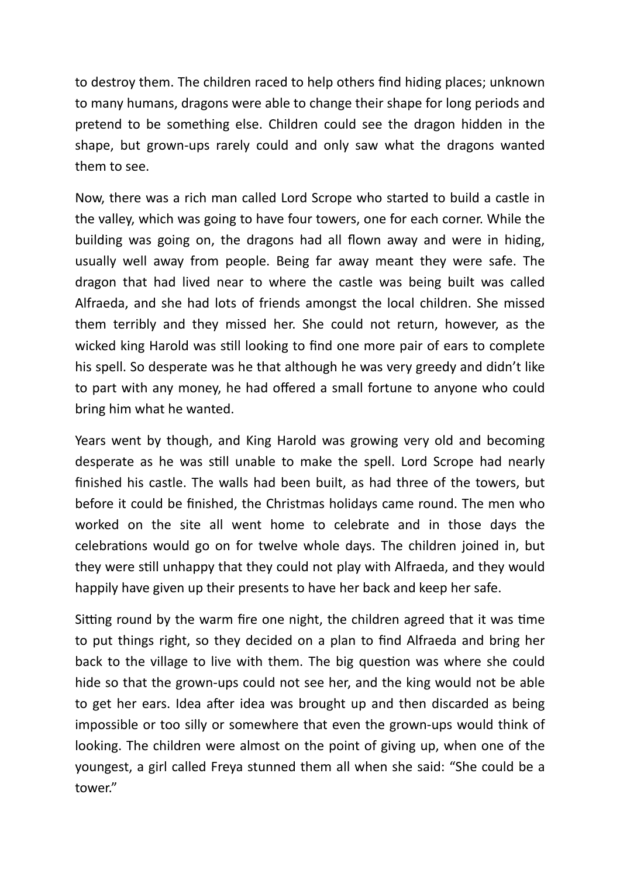to destroy them. The children raced to help others find hiding places; unknown to many humans, dragons were able to change their shape for long periods and pretend to be something else. Children could see the dragon hidden in the shape, but grown-ups rarely could and only saw what the dragons wanted them to see.

Now, there was a rich man called Lord Scrope who started to build a castle in the valley, which was going to have four towers, one for each corner. While the building was going on, the dragons had all flown away and were in hiding, usually well away from people. Being far away meant they were safe. The dragon that had lived near to where the castle was being built was called Alfraeda, and she had lots of friends amongst the local children. She missed them terribly and they missed her. She could not return, however, as the wicked king Harold was still looking to find one more pair of ears to complete his spell. So desperate was he that although he was very greedy and didn't like to part with any money, he had offered a small fortune to anyone who could bring him what he wanted.

Years went by though, and King Harold was growing very old and becoming desperate as he was still unable to make the spell. Lord Scrope had nearly finished his castle. The walls had been built, as had three of the towers, but before it could be finished, the Christmas holidays came round. The men who worked on the site all went home to celebrate and in those days the celebrations would go on for twelve whole days. The children joined in, but they were still unhappy that they could not play with Alfraeda, and they would happily have given up their presents to have her back and keep her safe.

Sitting round by the warm fire one night, the children agreed that it was time to put things right, so they decided on a plan to find Alfraeda and bring her back to the village to live with them. The big question was where she could hide so that the grown-ups could not see her, and the king would not be able to get her ears. Idea after idea was brought up and then discarded as being impossible or too silly or somewhere that even the grown-ups would think of looking. The children were almost on the point of giving up, when one of the youngest, a girl called Freya stunned them all when she said: "She could be a tower."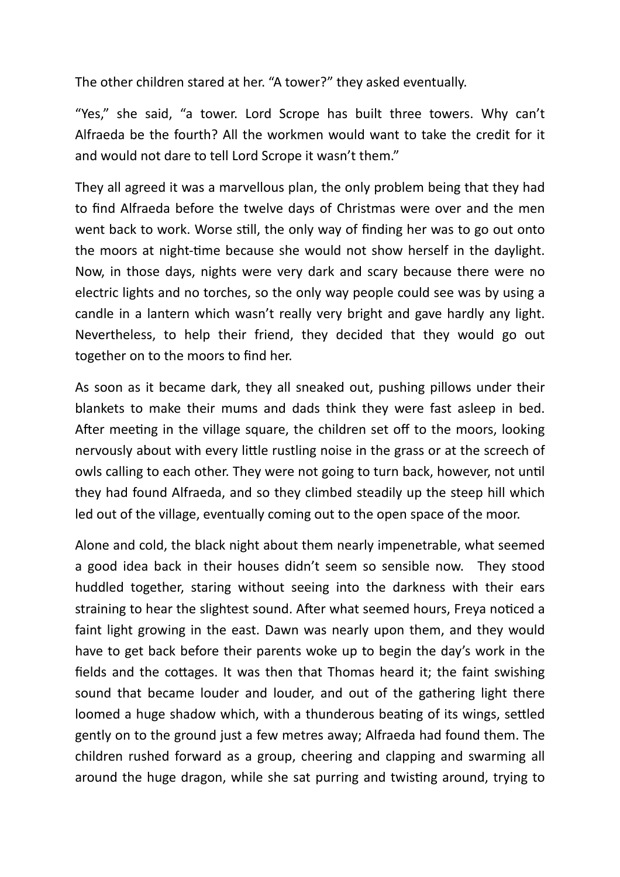The other children stared at her. "A tower?" they asked eventually.

"Yes," she said, "a tower. Lord Scrope has built three towers. Why can't Alfraeda be the fourth? All the workmen would want to take the credit for it and would not dare to tell Lord Scrope it wasn't them."

They all agreed it was a marvellous plan, the only problem being that they had to find Alfraeda before the twelve days of Christmas were over and the men went back to work. Worse still, the only way of finding her was to go out onto the moors at night-time because she would not show herself in the daylight. Now, in those days, nights were very dark and scary because there were no electric lights and no torches, so the only way people could see was by using a candle in a lantern which wasn't really very bright and gave hardly any light. Nevertheless, to help their friend, they decided that they would go out together on to the moors to find her.

As soon as it became dark, they all sneaked out, pushing pillows under their blankets to make their mums and dads think they were fast asleep in bed. After meeting in the village square, the children set off to the moors, looking nervously about with every little rustling noise in the grass or at the screech of owls calling to each other. They were not going to turn back, however, not until they had found Alfraeda, and so they climbed steadily up the steep hill which led out of the village, eventually coming out to the open space of the moor.

Alone and cold, the black night about them nearly impenetrable, what seemed a good idea back in their houses didn't seem so sensible now. They stood huddled together, staring without seeing into the darkness with their ears straining to hear the slightest sound. After what seemed hours, Freya noticed a faint light growing in the east. Dawn was nearly upon them, and they would have to get back before their parents woke up to begin the day's work in the fields and the cottages. It was then that Thomas heard it; the faint swishing sound that became louder and louder, and out of the gathering light there loomed a huge shadow which, with a thunderous beating of its wings, settled gently on to the ground just a few metres away; Alfraeda had found them. The children rushed forward as a group, cheering and clapping and swarming all around the huge dragon, while she sat purring and twisting around, trying to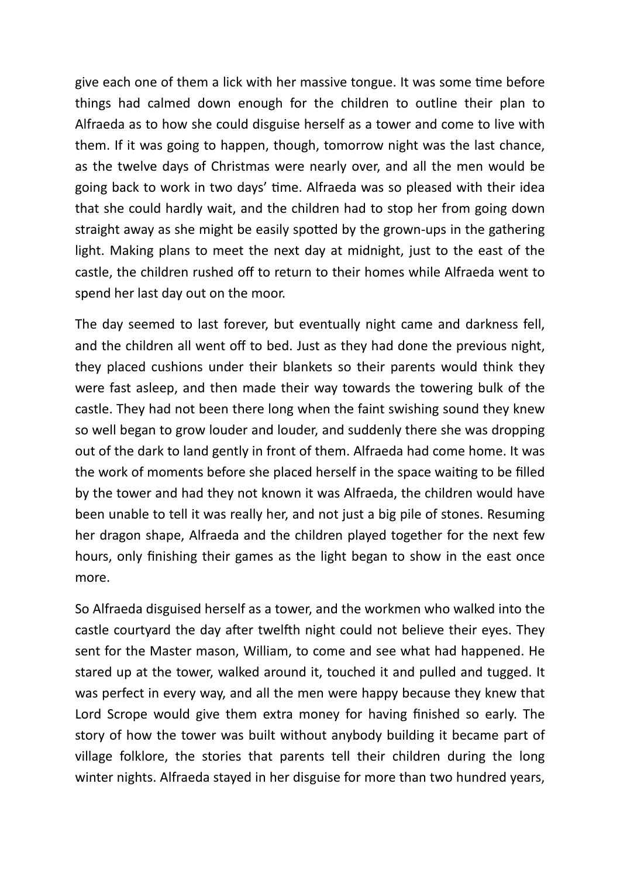give each one of them a lick with her massive tongue. It was some time before things had calmed down enough for the children to outline their plan to Alfraeda as to how she could disguise herself as a tower and come to live with them. If it was going to happen, though, tomorrow night was the last chance, as the twelve days of Christmas were nearly over, and all the men would be going back to work in two days' time. Alfraeda was so pleased with their idea that she could hardly wait, and the children had to stop her from going down straight away as she might be easily spotted by the grown-ups in the gathering light. Making plans to meet the next day at midnight, just to the east of the castle, the children rushed off to return to their homes while Alfraeda went to spend her last day out on the moor.

The day seemed to last forever, but eventually night came and darkness fell, and the children all went off to bed. Just as they had done the previous night, they placed cushions under their blankets so their parents would think they were fast asleep, and then made their way towards the towering bulk of the castle. They had not been there long when the faint swishing sound they knew so well began to grow louder and louder, and suddenly there she was dropping out of the dark to land gently in front of them. Alfraeda had come home. It was the work of moments before she placed herself in the space waiting to be filled by the tower and had they not known it was Alfraeda, the children would have been unable to tell it was really her, and not just a big pile of stones. Resuming her dragon shape, Alfraeda and the children played together for the next few hours, only finishing their games as the light began to show in the east once more.

So Alfraeda disguised herself as a tower, and the workmen who walked into the castle courtyard the day after twelfth night could not believe their eyes. They sent for the Master mason, William, to come and see what had happened. He stared up at the tower, walked around it, touched it and pulled and tugged. It was perfect in every way, and all the men were happy because they knew that Lord Scrope would give them extra money for having finished so early. The story of how the tower was built without anybody building it became part of village folklore, the stories that parents tell their children during the long winter nights. Alfraeda stayed in her disguise for more than two hundred years,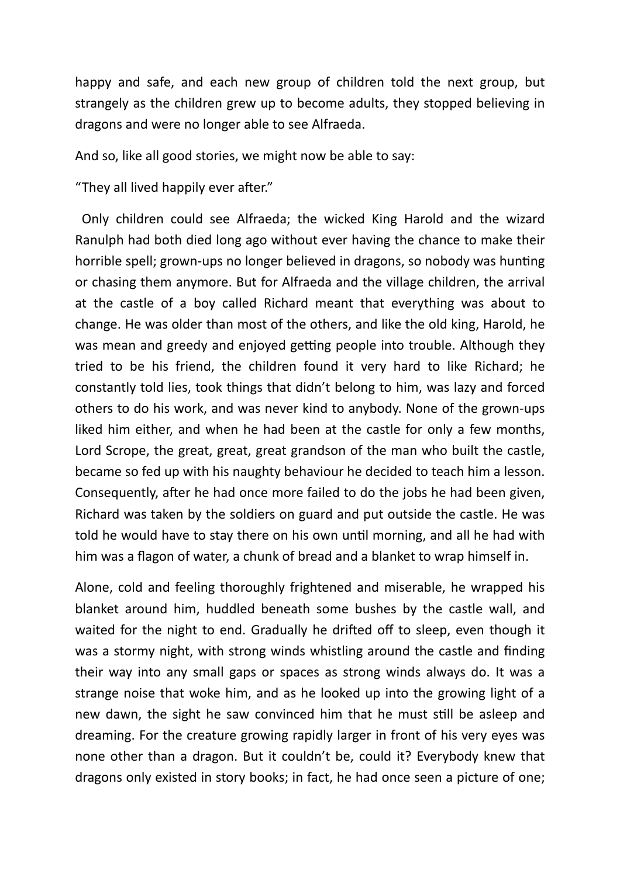happy and safe, and each new group of children told the next group, but strangely as the children grew up to become adults, they stopped believing in dragons and were no longer able to see Alfraeda.

And so, like all good stories, we might now be able to say:

"They all lived happily ever after."

 Only children could see Alfraeda; the wicked King Harold and the wizard Ranulph had both died long ago without ever having the chance to make their horrible spell; grown-ups no longer believed in dragons, so nobody was hunting or chasing them anymore. But for Alfraeda and the village children, the arrival at the castle of a boy called Richard meant that everything was about to change. He was older than most of the others, and like the old king, Harold, he was mean and greedy and enjoyed getting people into trouble. Although they tried to be his friend, the children found it very hard to like Richard; he constantly told lies, took things that didn't belong to him, was lazy and forced others to do his work, and was never kind to anybody. None of the grown-ups liked him either, and when he had been at the castle for only a few months, Lord Scrope, the great, great, great grandson of the man who built the castle, became so fed up with his naughty behaviour he decided to teach him a lesson. Consequently, after he had once more failed to do the jobs he had been given, Richard was taken by the soldiers on guard and put outside the castle. He was told he would have to stay there on his own until morning, and all he had with him was a flagon of water, a chunk of bread and a blanket to wrap himself in.

Alone, cold and feeling thoroughly frightened and miserable, he wrapped his blanket around him, huddled beneath some bushes by the castle wall, and waited for the night to end. Gradually he drifted off to sleep, even though it was a stormy night, with strong winds whistling around the castle and finding their way into any small gaps or spaces as strong winds always do. It was a strange noise that woke him, and as he looked up into the growing light of a new dawn, the sight he saw convinced him that he must still be asleep and dreaming. For the creature growing rapidly larger in front of his very eyes was none other than a dragon. But it couldn't be, could it? Everybody knew that dragons only existed in story books; in fact, he had once seen a picture of one;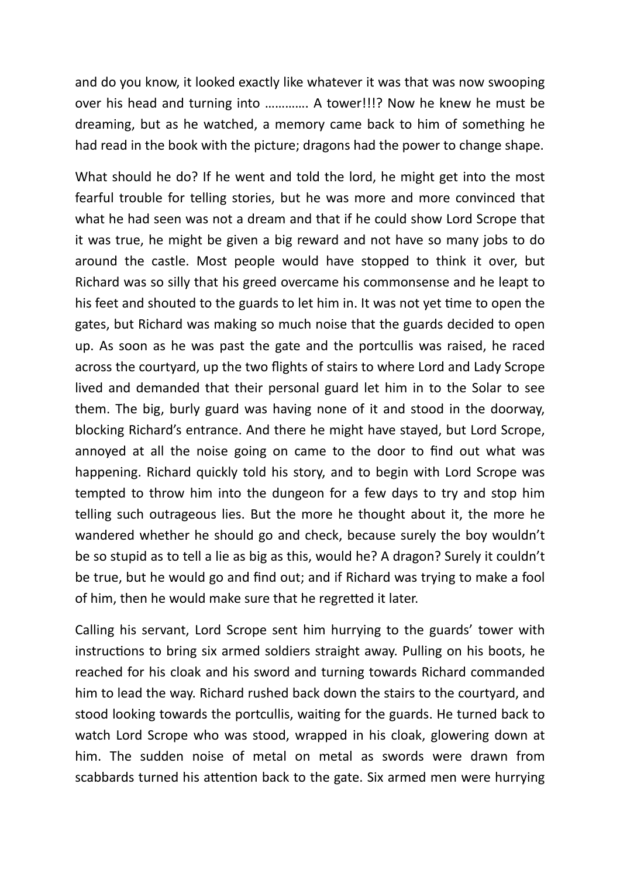and do you know, it looked exactly like whatever it was that was now swooping over his head and turning into …………. A tower!!!? Now he knew he must be dreaming, but as he watched, a memory came back to him of something he had read in the book with the picture; dragons had the power to change shape.

What should he do? If he went and told the lord, he might get into the most fearful trouble for telling stories, but he was more and more convinced that what he had seen was not a dream and that if he could show Lord Scrope that it was true, he might be given a big reward and not have so many jobs to do around the castle. Most people would have stopped to think it over, but Richard was so silly that his greed overcame his commonsense and he leapt to his feet and shouted to the guards to let him in. It was not yet time to open the gates, but Richard was making so much noise that the guards decided to open up. As soon as he was past the gate and the portcullis was raised, he raced across the courtyard, up the two flights of stairs to where Lord and Lady Scrope lived and demanded that their personal guard let him in to the Solar to see them. The big, burly guard was having none of it and stood in the doorway, blocking Richard's entrance. And there he might have stayed, but Lord Scrope, annoyed at all the noise going on came to the door to find out what was happening. Richard quickly told his story, and to begin with Lord Scrope was tempted to throw him into the dungeon for a few days to try and stop him telling such outrageous lies. But the more he thought about it, the more he wandered whether he should go and check, because surely the boy wouldn't be so stupid as to tell a lie as big as this, would he? A dragon? Surely it couldn't be true, but he would go and find out; and if Richard was trying to make a fool of him, then he would make sure that he regretted it later.

Calling his servant, Lord Scrope sent him hurrying to the guards' tower with instructions to bring six armed soldiers straight away. Pulling on his boots, he reached for his cloak and his sword and turning towards Richard commanded him to lead the way. Richard rushed back down the stairs to the courtyard, and stood looking towards the portcullis, waiting for the guards. He turned back to watch Lord Scrope who was stood, wrapped in his cloak, glowering down at him. The sudden noise of metal on metal as swords were drawn from scabbards turned his attention back to the gate. Six armed men were hurrying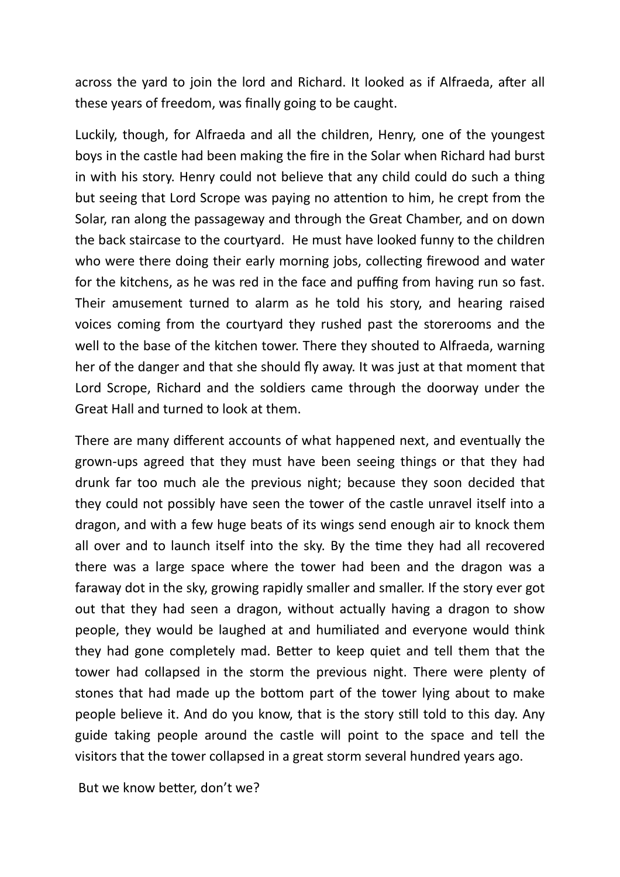across the yard to join the lord and Richard. It looked as if Alfraeda, after all these years of freedom, was finally going to be caught.

Luckily, though, for Alfraeda and all the children, Henry, one of the youngest boys in the castle had been making the fire in the Solar when Richard had burst in with his story. Henry could not believe that any child could do such a thing but seeing that Lord Scrope was paying no attention to him, he crept from the Solar, ran along the passageway and through the Great Chamber, and on down the back staircase to the courtyard. He must have looked funny to the children who were there doing their early morning jobs, collecting firewood and water for the kitchens, as he was red in the face and puffing from having run so fast. Their amusement turned to alarm as he told his story, and hearing raised voices coming from the courtyard they rushed past the storerooms and the well to the base of the kitchen tower. There they shouted to Alfraeda, warning her of the danger and that she should fly away. It was just at that moment that Lord Scrope, Richard and the soldiers came through the doorway under the Great Hall and turned to look at them.

There are many different accounts of what happened next, and eventually the grown-ups agreed that they must have been seeing things or that they had drunk far too much ale the previous night; because they soon decided that they could not possibly have seen the tower of the castle unravel itself into a dragon, and with a few huge beats of its wings send enough air to knock them all over and to launch itself into the sky. By the time they had all recovered there was a large space where the tower had been and the dragon was a faraway dot in the sky, growing rapidly smaller and smaller. If the story ever got out that they had seen a dragon, without actually having a dragon to show people, they would be laughed at and humiliated and everyone would think they had gone completely mad. Better to keep quiet and tell them that the tower had collapsed in the storm the previous night. There were plenty of stones that had made up the bottom part of the tower lying about to make people believe it. And do you know, that is the story still told to this day. Any guide taking people around the castle will point to the space and tell the visitors that the tower collapsed in a great storm several hundred years ago.

But we know better, don't we?